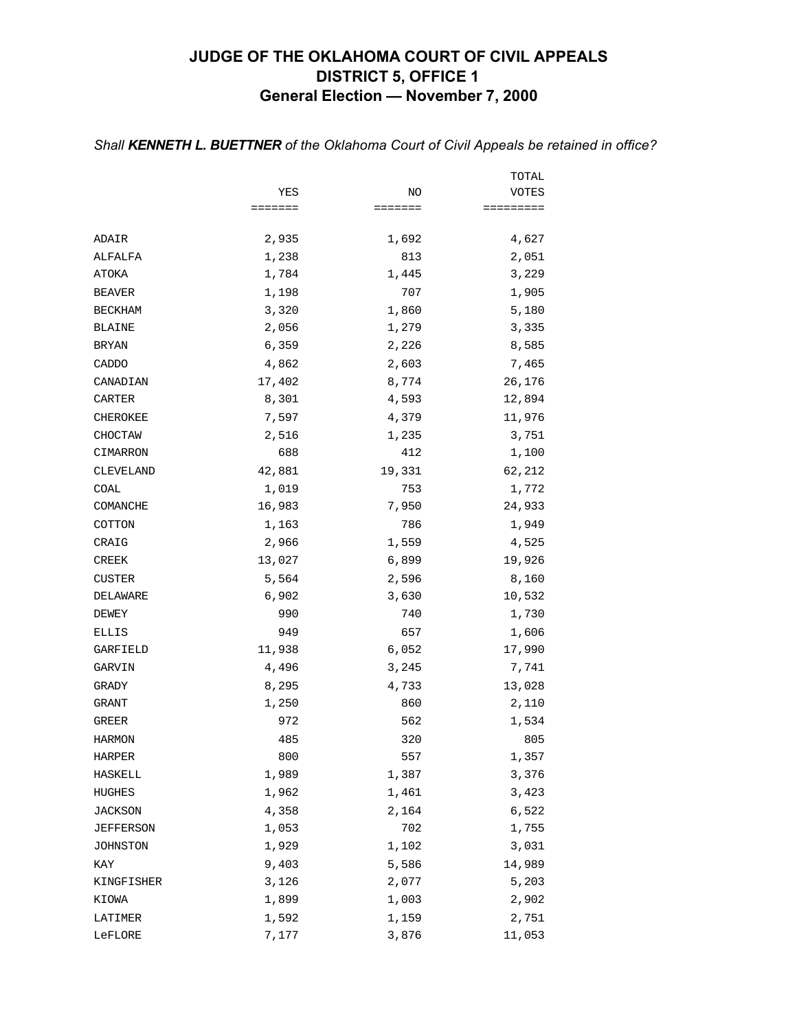### **JUDGE OF THE OKLAHOMA COURT OF CIVIL APPEALS DISTRICT 5, OFFICE 1 General Election — November 7, 2000**

|                |         |         | TOTAL     |
|----------------|---------|---------|-----------|
|                | YES     | NO      | VOTES     |
|                | ======= | ======= | ========= |
| ADAIR          | 2,935   | 1,692   | 4,627     |
| ALFALFA        | 1,238   | 813     | 2,051     |
| ATOKA          | 1,784   | 1,445   | 3,229     |
| <b>BEAVER</b>  | 1,198   | 707     | 1,905     |
| <b>BECKHAM</b> | 3,320   | 1,860   | 5,180     |
| <b>BLAINE</b>  | 2,056   | 1,279   | 3,335     |
| BRYAN          | 6,359   | 2,226   | 8,585     |
| CADDO          | 4,862   | 2,603   | 7,465     |
| CANADIAN       | 17,402  | 8,774   | 26,176    |
| CARTER         | 8,301   | 4,593   | 12,894    |
| CHEROKEE       | 7,597   | 4,379   | 11,976    |
| CHOCTAW        | 2,516   | 1,235   | 3,751     |
| CIMARRON       | 688     | 412     | 1,100     |
| CLEVELAND      | 42,881  | 19,331  | 62,212    |
| COAL           | 1,019   | 753     | 1,772     |
| COMANCHE       | 16,983  | 7,950   | 24,933    |
| COTTON         | 1,163   | 786     | 1,949     |
| CRAIG          | 2,966   | 1,559   | 4,525     |
| CREEK          | 13,027  | 6,899   | 19,926    |
| <b>CUSTER</b>  | 5,564   | 2,596   | 8,160     |
| DELAWARE       | 6,902   | 3,630   | 10,532    |
| DEWEY          | 990     | 740     | 1,730     |
| ELLIS          | 949     | 657     | 1,606     |
| GARFIELD       | 11,938  | 6,052   | 17,990    |
| GARVIN         | 4,496   | 3,245   | 7,741     |
| GRADY          | 8,295   | 4,733   | 13,028    |
| GRANT          | 1,250   | 860     | 2,110     |
| GREER          | 972     | 562     | 1,534     |
| <b>HARMON</b>  | 485     | 320     | 805       |
| HARPER         | 800     | 557     | 1,357     |
| HASKELL        | 1,989   | 1,387   | 3,376     |
| HUGHES         | 1,962   | 1,461   | 3,423     |
| <b>JACKSON</b> | 4,358   | 2,164   | 6,522     |
| JEFFERSON      | 1,053   | 702     | 1,755     |
| JOHNSTON       | 1,929   | 1,102   | 3,031     |
| KAY            | 9,403   | 5,586   | 14,989    |
| KINGFISHER     | 3,126   | 2,077   | 5,203     |
| KIOWA          | 1,899   | 1,003   | 2,902     |
| LATIMER        | 1,592   | 1,159   | 2,751     |
| LeFLORE        | 7,177   | 3,876   | 11,053    |

### *Shall KENNETH L. BUETTNER of the Oklahoma Court of Civil Appeals be retained in office?*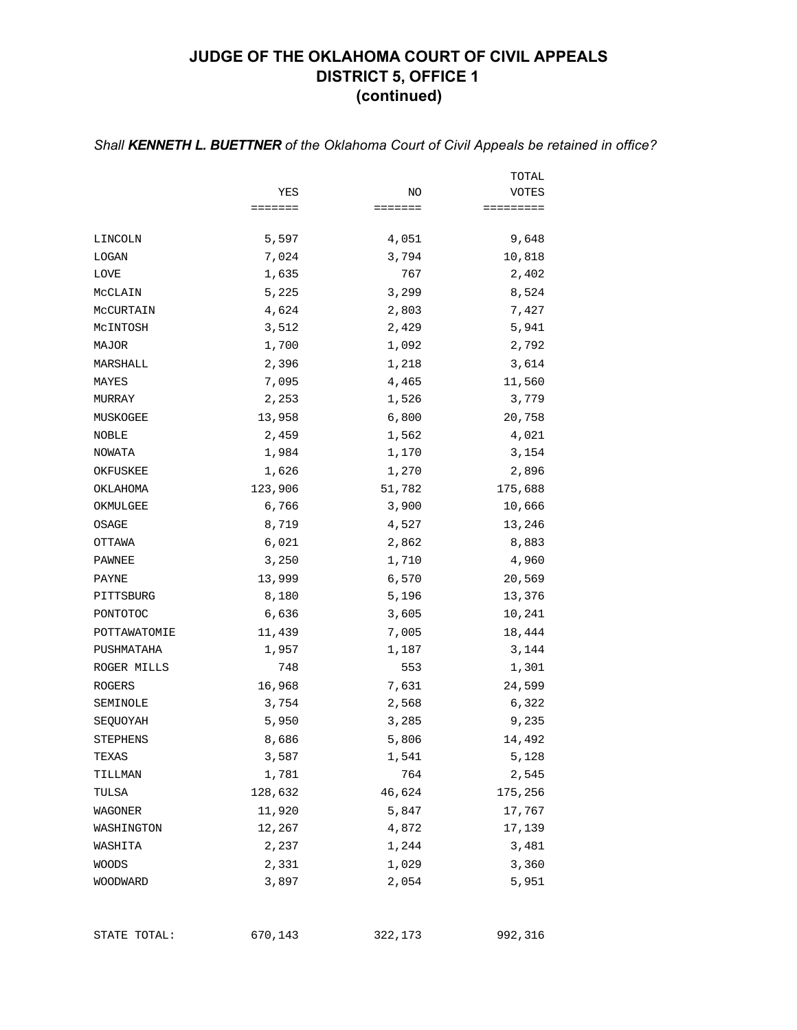# **JUDGE OF THE OKLAHOMA COURT OF CIVIL APPEALS DISTRICT 5, OFFICE 1 (continued)**

|                 |         |         | TOTAL     |
|-----------------|---------|---------|-----------|
|                 | YES     | NO      | VOTES     |
|                 | ======= | ======= | ========= |
| LINCOLN         | 5,597   | 4,051   | 9,648     |
| LOGAN           | 7,024   | 3,794   | 10,818    |
| LOVE            | 1,635   | 767     | 2,402     |
| MCCLAIN         | 5,225   | 3,299   | 8,524     |
| MCCURTAIN       | 4,624   | 2,803   | 7,427     |
| MCINTOSH        | 3,512   | 2,429   | 5,941     |
| MAJOR           | 1,700   | 1,092   | 2,792     |
| MARSHALL        | 2,396   | 1,218   | 3,614     |
| MAYES           | 7,095   | 4,465   | 11,560    |
| MURRAY          | 2,253   | 1,526   | 3,779     |
| MUSKOGEE        | 13,958  | 6,800   | 20,758    |
| NOBLE           | 2,459   | 1,562   | 4,021     |
| NOWATA          | 1,984   | 1,170   | 3,154     |
| OKFUSKEE        | 1,626   | 1,270   | 2,896     |
| OKLAHOMA        | 123,906 | 51,782  | 175,688   |
| OKMULGEE        | 6,766   | 3,900   | 10,666    |
| OSAGE           | 8,719   | 4,527   | 13,246    |
| OTTAWA          | 6,021   | 2,862   | 8,883     |
| PAWNEE          | 3,250   | 1,710   | 4,960     |
| PAYNE           | 13,999  | 6,570   | 20,569    |
| PITTSBURG       | 8,180   | 5,196   | 13,376    |
| PONTOTOC        | 6,636   | 3,605   | 10,241    |
| POTTAWATOMIE    | 11,439  | 7,005   | 18,444    |
| PUSHMATAHA      | 1,957   | 1,187   | 3,144     |
| ROGER MILLS     | 748     | 553     | 1,301     |
| <b>ROGERS</b>   | 16,968  | 7,631   | 24,599    |
| SEMINOLE        | 3,754   | 2,568   | 6,322     |
| SEQUOYAH        | 5,950   | 3,285   | 9,235     |
| <b>STEPHENS</b> | 8,686   | 5,806   | 14,492    |
| TEXAS           | 3,587   | 1,541   | 5,128     |
| TILLMAN         | 1,781   | 764     | 2,545     |
| TULSA           | 128,632 | 46,624  | 175,256   |
| WAGONER         | 11,920  | 5,847   | 17,767    |
| WASHINGTON      | 12,267  | 4,872   | 17,139    |
| WASHITA         | 2,237   | 1,244   | 3,481     |
| <b>WOODS</b>    | 2,331   | 1,029   | 3,360     |
| WOODWARD        | 3,897   | 2,054   | 5,951     |

### *Shall KENNETH L. BUETTNER of the Oklahoma Court of Civil Appeals be retained in office?*

670,143 322,173 992,316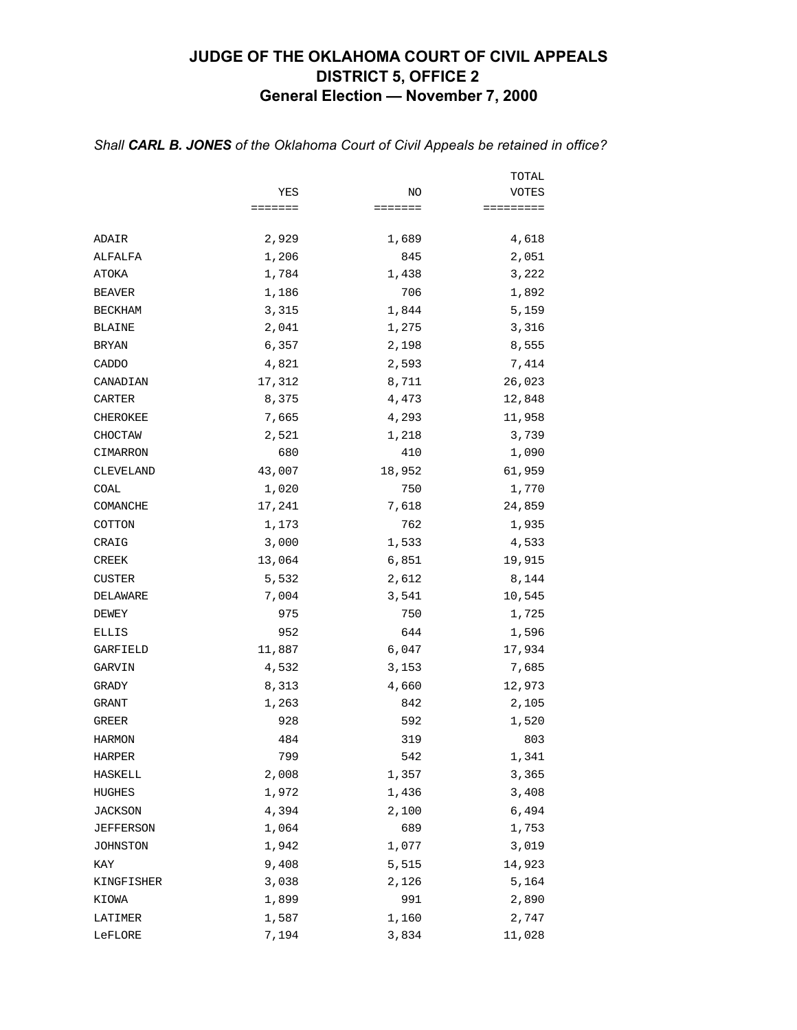### **JUDGE OF THE OKLAHOMA COURT OF CIVIL APPEALS DISTRICT 5, OFFICE 2 General Election — November 7, 2000**

|                |         |         | TOTAL        |
|----------------|---------|---------|--------------|
|                | YES     | NO      | <b>VOTES</b> |
|                | ======= | ======= | =========    |
| ADAIR          | 2,929   | 1,689   | 4,618        |
| ALFALFA        | 1,206   | 845     | 2,051        |
| ATOKA          | 1,784   | 1,438   | 3,222        |
| <b>BEAVER</b>  | 1,186   | 706     | 1,892        |
| <b>BECKHAM</b> | 3,315   | 1,844   | 5,159        |
| <b>BLAINE</b>  | 2,041   | 1,275   | 3,316        |
| <b>BRYAN</b>   | 6,357   | 2,198   | 8,555        |
| CADDO          | 4,821   | 2,593   | 7,414        |
| CANADIAN       | 17,312  | 8,711   | 26,023       |
| CARTER         | 8,375   | 4,473   | 12,848       |
| CHEROKEE       | 7,665   | 4,293   | 11,958       |
| CHOCTAW        | 2,521   | 1,218   | 3,739        |
| CIMARRON       | 680     | 410     | 1,090        |
| CLEVELAND      | 43,007  | 18,952  | 61,959       |
| COAL           | 1,020   | 750     | 1,770        |
| COMANCHE       | 17,241  | 7,618   | 24,859       |
| COTTON         | 1,173   | 762     | 1,935        |
| CRAIG          | 3,000   | 1,533   | 4,533        |
| <b>CREEK</b>   | 13,064  | 6,851   | 19,915       |
| CUSTER         | 5,532   | 2,612   | 8,144        |
| DELAWARE       | 7,004   | 3,541   | 10,545       |
| DEWEY          | 975     | 750     | 1,725        |
| ELLIS          | 952     | 644     | 1,596        |
| GARFIELD       | 11,887  | 6,047   | 17,934       |
| GARVIN         | 4,532   | 3,153   | 7,685        |
| GRADY          | 8,313   | 4,660   | 12,973       |
| GRANT          | 1,263   | 842     | 2,105        |
| GREER          | 928     | 592     | 1,520        |
| HARMON         | 484     | 319     | 803          |
| HARPER         | 799     | 542     | 1,341        |
| HASKELL        | 2,008   | 1,357   | 3,365        |
| HUGHES         | 1,972   | 1,436   | 3,408        |
| <b>JACKSON</b> | 4,394   | 2,100   | 6,494        |
| JEFFERSON      | 1,064   | 689     | 1,753        |
| JOHNSTON       | 1,942   | 1,077   | 3,019        |
| KAY            | 9,408   | 5,515   | 14,923       |
| KINGFISHER     | 3,038   | 2,126   | 5,164        |
| KIOWA          | 1,899   | 991     | 2,890        |
| LATIMER        | 1,587   | 1,160   | 2,747        |
| LeFLORE        | 7,194   | 3,834   | 11,028       |

### *Shall CARL B. JONES of the Oklahoma Court of Civil Appeals be retained in office?*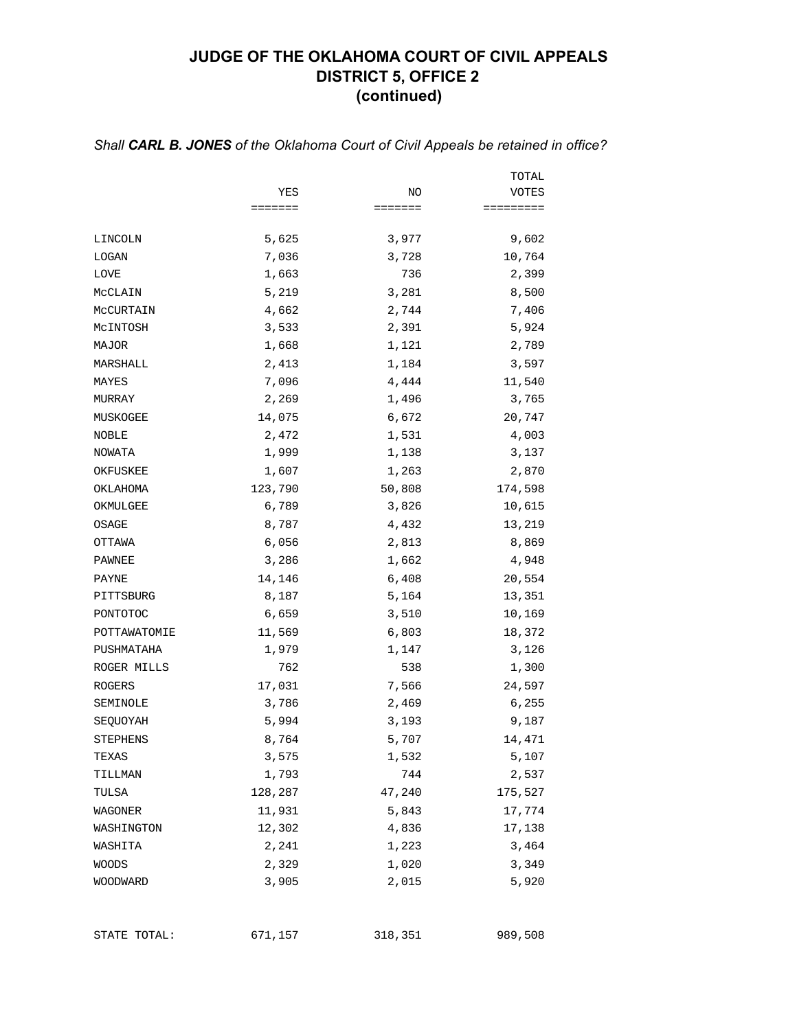## **JUDGE OF THE OKLAHOMA COURT OF CIVIL APPEALS DISTRICT 5, OFFICE 2 (continued)**

|                 |         |         | TOTAL     |
|-----------------|---------|---------|-----------|
|                 | YES     | NO      | VOTES     |
|                 | ======= | ======= | ========= |
| LINCOLN         | 5,625   | 3,977   | 9,602     |
| LOGAN           | 7,036   | 3,728   | 10,764    |
| LOVE            | 1,663   | 736     | 2,399     |
| MCCLAIN         | 5,219   | 3,281   | 8,500     |
| MCCURTAIN       | 4,662   | 2,744   | 7,406     |
| MCINTOSH        | 3,533   | 2,391   | 5,924     |
| MAJOR           | 1,668   | 1,121   | 2,789     |
| MARSHALL        | 2,413   | 1,184   | 3,597     |
| MAYES           | 7,096   | 4,444   | 11,540    |
| MURRAY          | 2,269   | 1,496   | 3,765     |
| MUSKOGEE        | 14,075  | 6,672   | 20,747    |
| NOBLE           | 2,472   | 1,531   | 4,003     |
| NOWATA          | 1,999   | 1,138   | 3,137     |
| OKFUSKEE        | 1,607   | 1,263   | 2,870     |
| OKLAHOMA        | 123,790 | 50,808  | 174,598   |
| OKMULGEE        | 6,789   | 3,826   | 10,615    |
| OSAGE           | 8,787   | 4,432   | 13,219    |
| OTTAWA          | 6,056   | 2,813   | 8,869     |
| PAWNEE          | 3,286   | 1,662   | 4,948     |
| PAYNE           | 14,146  | 6,408   | 20,554    |
| PITTSBURG       | 8,187   | 5,164   | 13,351    |
| PONTOTOC        | 6,659   | 3,510   | 10,169    |
| POTTAWATOMIE    | 11,569  | 6,803   | 18,372    |
| PUSHMATAHA      | 1,979   | 1,147   | 3,126     |
| ROGER MILLS     | 762     | 538     | 1,300     |
| ROGERS          | 17,031  | 7,566   | 24,597    |
| SEMINOLE        | 3,786   | 2,469   | 6,255     |
| SEQUOYAH        | 5,994   | 3,193   | 9,187     |
| <b>STEPHENS</b> | 8,764   | 5,707   | 14,471    |
| TEXAS           | 3,575   | 1,532   | 5,107     |
| TILLMAN         | 1,793   | 744     | 2,537     |
| TULSA           | 128,287 | 47,240  | 175,527   |
| WAGONER         | 11,931  | 5,843   | 17,774    |
| WASHINGTON      | 12,302  | 4,836   | 17,138    |
| WASHITA         | 2,241   | 1,223   | 3,464     |
| <b>WOODS</b>    | 2,329   | 1,020   | 3,349     |
| WOODWARD        | 3,905   | 2,015   | 5,920     |

### *Shall CARL B. JONES of the Oklahoma Court of Civil Appeals be retained in office?*

STATE TOTAL: 671,157 318,351 989,508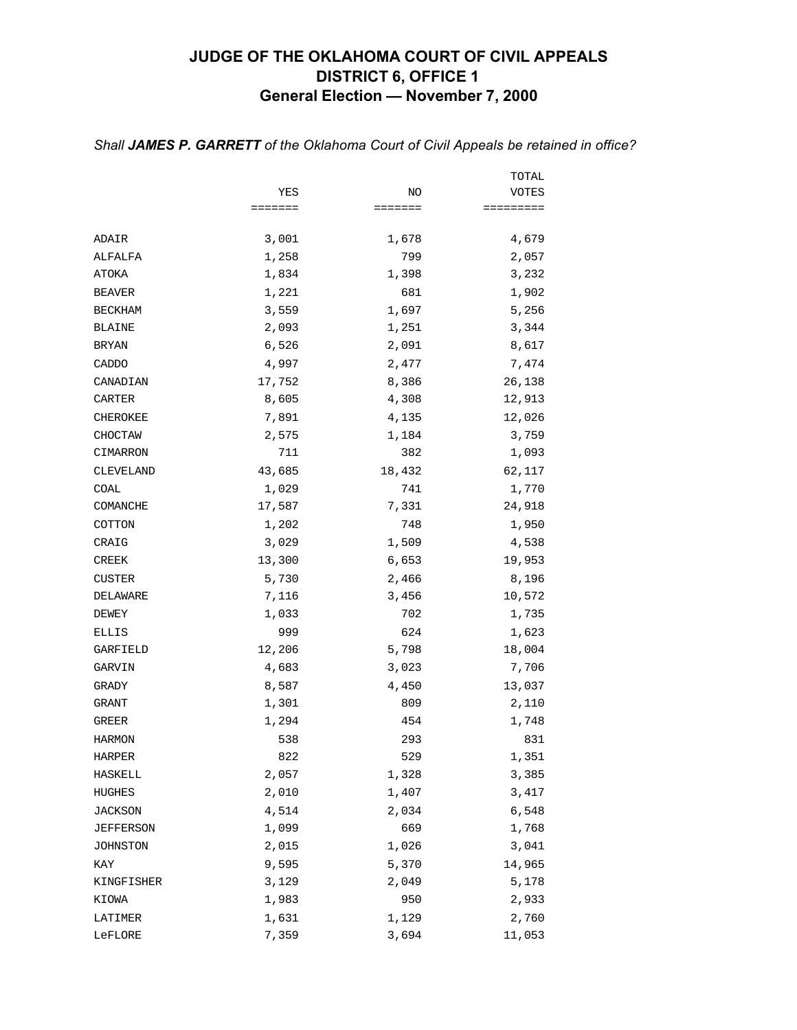### **JUDGE OF THE OKLAHOMA COURT OF CIVIL APPEALS DISTRICT 6, OFFICE 1 General Election — November 7, 2000**

|                |         |         | TOTAL     |
|----------------|---------|---------|-----------|
|                | YES     | NO      | VOTES     |
|                | ======= | ======= | ========= |
| ADAIR          | 3,001   | 1,678   | 4,679     |
| ALFALFA        | 1,258   | 799     | 2,057     |
| ATOKA          | 1,834   | 1,398   | 3,232     |
| <b>BEAVER</b>  | 1,221   | 681     | 1,902     |
| <b>BECKHAM</b> | 3,559   | 1,697   | 5,256     |
| <b>BLAINE</b>  | 2,093   | 1,251   | 3,344     |
| BRYAN          | 6,526   | 2,091   | 8,617     |
| CADDO          | 4,997   | 2,477   | 7,474     |
| CANADIAN       | 17,752  | 8,386   | 26,138    |
| CARTER         | 8,605   | 4,308   | 12,913    |
| CHEROKEE       | 7,891   | 4,135   | 12,026    |
| CHOCTAW        | 2,575   | 1,184   | 3,759     |
| CIMARRON       | 711     | 382     | 1,093     |
| CLEVELAND      | 43,685  | 18,432  | 62,117    |
| COAL           | 1,029   | 741     | 1,770     |
| COMANCHE       | 17,587  | 7,331   | 24,918    |
| COTTON         | 1,202   | 748     | 1,950     |
| CRAIG          | 3,029   | 1,509   | 4,538     |
| <b>CREEK</b>   | 13,300  | 6,653   | 19,953    |
| <b>CUSTER</b>  | 5,730   | 2,466   | 8,196     |
| DELAWARE       | 7,116   | 3,456   | 10,572    |
| DEWEY          | 1,033   | 702     | 1,735     |
| ELLIS          | 999     | 624     | 1,623     |
| GARFIELD       | 12,206  | 5,798   | 18,004    |
| GARVIN         | 4,683   | 3,023   | 7,706     |
| GRADY          | 8,587   | 4,450   | 13,037    |
| GRANT          | 1,301   | 809     | 2,110     |
| GREER          | 1,294   | 454     | 1,748     |
| <b>HARMON</b>  | 538     | 293     | 831       |
| HARPER         | 822     | 529     | 1,351     |
| HASKELL        | 2,057   | 1,328   | 3,385     |
| <b>HUGHES</b>  | 2,010   | 1,407   | 3,417     |
| JACKSON        | 4,514   | 2,034   | 6,548     |
| JEFFERSON      | 1,099   | 669     | 1,768     |
| JOHNSTON       | 2,015   | 1,026   | 3,041     |
| KAY            | 9,595   | 5,370   | 14,965    |
| KINGFISHER     | 3,129   | 2,049   | 5,178     |
| KIOWA          | 1,983   | 950     | 2,933     |
| LATIMER        | 1,631   | 1,129   | 2,760     |
| LeFLORE        | 7,359   | 3,694   | 11,053    |

### *Shall JAMES P. GARRETT of the Oklahoma Court of Civil Appeals be retained in office?*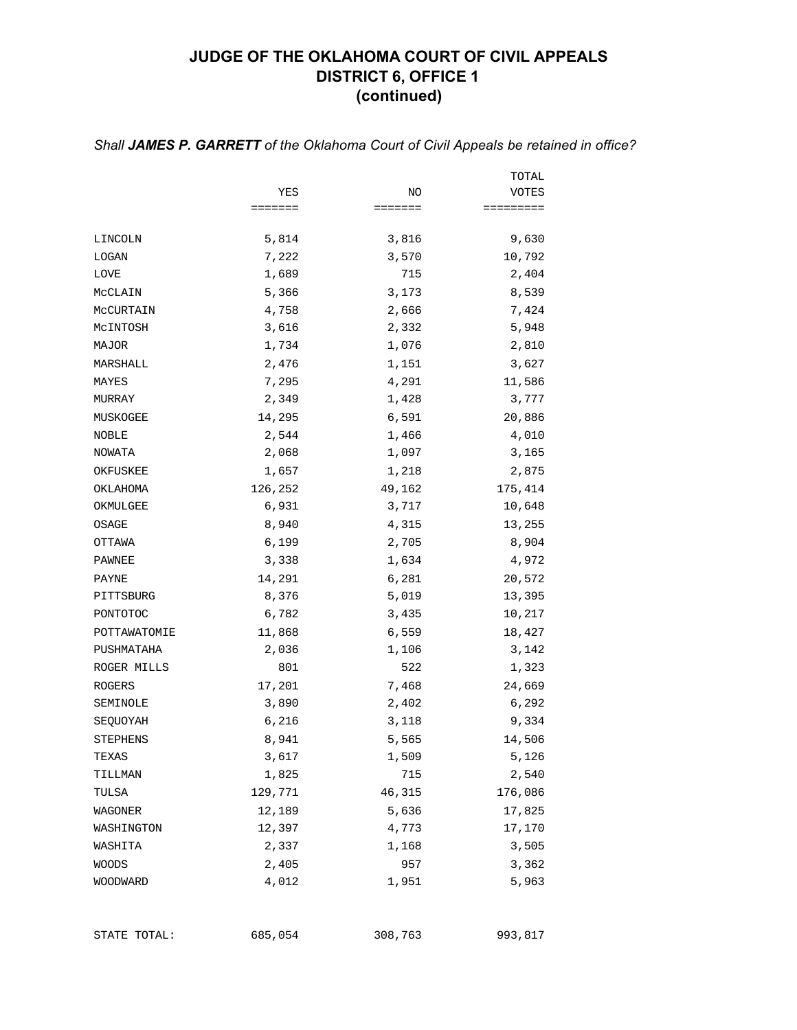## **JUDGE OF THE OKLAHOMA COURT OF CIVIL APPEALS DISTRICT 6, OFFICE 1 (continued)**

|              |         |         | TOTAL     |
|--------------|---------|---------|-----------|
|              | YES     | NO      | VOTES     |
|              | ======= | ======= | ========= |
| LINCOLN      | 5,814   | 3,816   | 9,630     |
| LOGAN        | 7,222   | 3,570   | 10,792    |
| LOVE         | 1,689   | 715     | 2,404     |
| MCCLAIN      | 5,366   | 3,173   | 8,539     |
| MCCURTAIN    | 4,758   | 2,666   | 7,424     |
| MCINTOSH     | 3,616   | 2,332   | 5,948     |
| MAJOR        | 1,734   | 1,076   | 2,810     |
| MARSHALL     | 2,476   | 1,151   | 3,627     |
| MAYES        | 7,295   | 4,291   | 11,586    |
| MURRAY       | 2,349   | 1,428   | 3,777     |
| MUSKOGEE     | 14,295  | 6,591   | 20,886    |
| <b>NOBLE</b> | 2,544   | 1,466   | 4,010     |
| NOWATA       | 2,068   | 1,097   | 3,165     |
| OKFUSKEE     | 1,657   | 1,218   | 2,875     |
| OKLAHOMA     | 126,252 | 49,162  | 175,414   |
| OKMULGEE     | 6,931   | 3,717   | 10,648    |
| OSAGE        | 8,940   | 4,315   | 13,255    |
| OTTAWA       | 6,199   | 2,705   | 8,904     |
| PAWNEE       | 3,338   | 1,634   | 4,972     |
| PAYNE        | 14,291  | 6,281   | 20,572    |
| PITTSBURG    | 8,376   | 5,019   | 13,395    |
| PONTOTOC     | 6,782   | 3,435   | 10,217    |
| POTTAWATOMIE | 11,868  | 6,559   | 18,427    |
| PUSHMATAHA   | 2,036   | 1,106   | 3,142     |
| ROGER MILLS  | 801     | 522     | 1,323     |
| ROGERS       | 17,201  | 7,468   | 24,669    |
| SEMINOLE     | 3,890   | 2,402   | 6,292     |
| SEQUOYAH     | 6,216   | 3,118   | 9,334     |
| STEPHENS     | 8,941   | 5,565   | 14,506    |
| TEXAS        | 3,617   | 1,509   | 5,126     |
| TILLMAN      | 1,825   | 715     | 2,540     |
| TULSA        | 129,771 | 46,315  | 176,086   |
| WAGONER      | 12,189  | 5,636   | 17,825    |
| WASHINGTON   | 12,397  | 4,773   | 17,170    |
| WASHITA      | 2,337   | 1,168   | 3,505     |
| <b>WOODS</b> | 2,405   | 957     | 3,362     |
| WOODWARD     | 4,012   | 1,951   | 5,963     |

### *Shall JAMES P. GARRETT of the Oklahoma Court of Civil Appeals be retained in office?*

STATE TOTAL: 685,054 308,763 993,817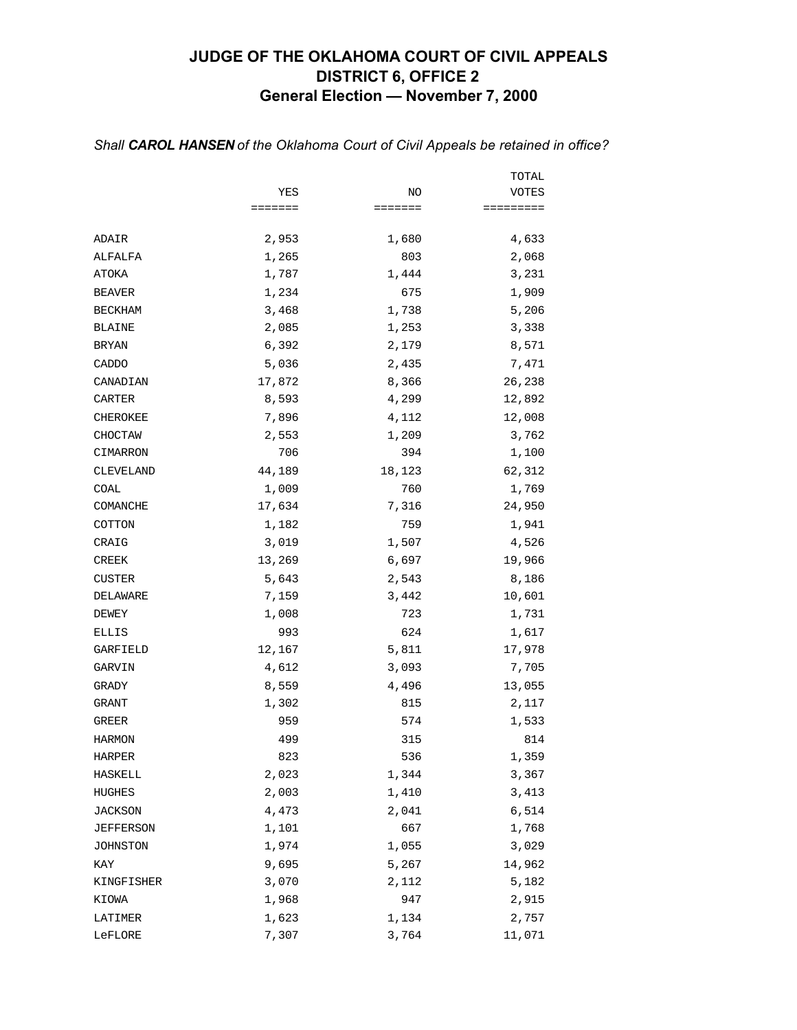### **JUDGE OF THE OKLAHOMA COURT OF CIVIL APPEALS DISTRICT 6, OFFICE 2 General Election — November 7, 2000**

|                 |         |         | TOTAL     |
|-----------------|---------|---------|-----------|
|                 | YES     | NO      | VOTES     |
|                 | ======= | ======= | ========= |
| ADAIR           | 2,953   | 1,680   | 4,633     |
| ALFALFA         | 1,265   | 803     | 2,068     |
| ATOKA           | 1,787   | 1,444   | 3,231     |
| <b>BEAVER</b>   | 1,234   | 675     | 1,909     |
| <b>BECKHAM</b>  | 3,468   | 1,738   | 5,206     |
| <b>BLAINE</b>   | 2,085   | 1,253   | 3,338     |
| <b>BRYAN</b>    | 6,392   | 2,179   | 8,571     |
| CADDO           | 5,036   | 2,435   | 7,471     |
| CANADIAN        | 17,872  | 8,366   | 26,238    |
| CARTER          | 8,593   | 4,299   | 12,892    |
| <b>CHEROKEE</b> | 7,896   | 4,112   | 12,008    |
| CHOCTAW         | 2,553   | 1,209   | 3,762     |
| CIMARRON        | 706     | 394     | 1,100     |
| CLEVELAND       | 44,189  | 18,123  | 62,312    |
| COAL            | 1,009   | 760     | 1,769     |
| COMANCHE        | 17,634  | 7,316   | 24,950    |
| COTTON          | 1,182   | 759     | 1,941     |
| CRAIG           | 3,019   | 1,507   | 4,526     |
| <b>CREEK</b>    | 13,269  | 6,697   | 19,966    |
| CUSTER          | 5,643   | 2,543   | 8,186     |
| DELAWARE        | 7,159   | 3,442   | 10,601    |
| DEWEY           | 1,008   | 723     | 1,731     |
| ELLIS           | 993     | 624     | 1,617     |
| GARFIELD        | 12,167  | 5,811   | 17,978    |
| GARVIN          | 4,612   | 3,093   | 7,705     |
| GRADY           | 8,559   | 4,496   | 13,055    |
| GRANT           | 1,302   | 815     | 2,117     |
| GREER           | 959     | 574     | 1,533     |
| <b>HARMON</b>   | 499     | 315     | 814       |
| HARPER          | 823     | 536     | 1,359     |
| HASKELL         | 2,023   | 1,344   | 3,367     |
| HUGHES          | 2,003   | 1,410   | 3,413     |
| <b>JACKSON</b>  | 4,473   | 2,041   | 6,514     |
| JEFFERSON       | 1,101   | 667     | 1,768     |
| JOHNSTON        | 1,974   | 1,055   | 3,029     |
| KAY             | 9,695   | 5,267   | 14,962    |
| KINGFISHER      | 3,070   | 2,112   | 5,182     |
| KIOWA           | 1,968   | 947     | 2,915     |
| LATIMER         | 1,623   | 1,134   | 2,757     |
| LeFLORE         | 7,307   | 3,764   | 11,071    |

### *Shall CAROL HANSEN of the Oklahoma Court of Civil Appeals be retained in office?*